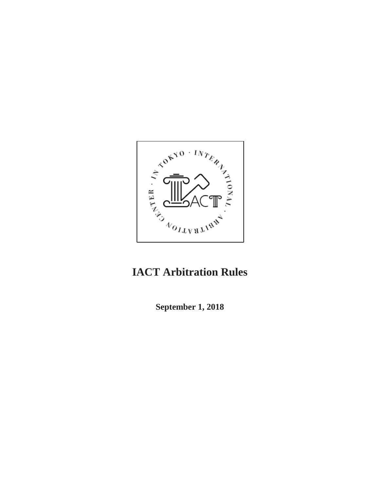

# **IACT Arbitration Rules**

**September 1, 2018**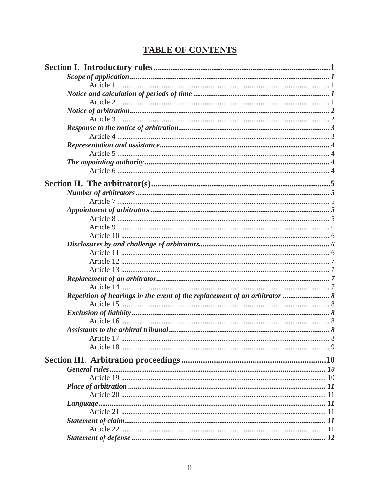# **TABLE OF CONTENTS**

| Repetition of hearings in the event of the replacement of an arbitrator  8 |  |
|----------------------------------------------------------------------------|--|
|                                                                            |  |
|                                                                            |  |
|                                                                            |  |
|                                                                            |  |
|                                                                            |  |
|                                                                            |  |
|                                                                            |  |
|                                                                            |  |
|                                                                            |  |
|                                                                            |  |
|                                                                            |  |
|                                                                            |  |
|                                                                            |  |
|                                                                            |  |
|                                                                            |  |
|                                                                            |  |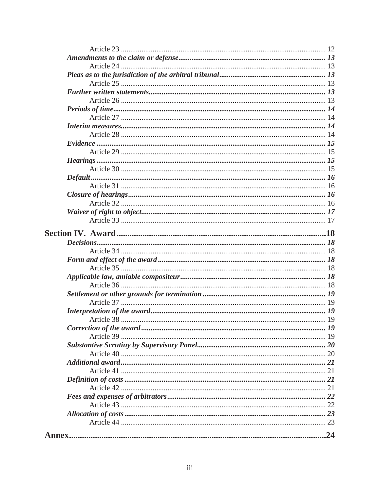| .24 |
|-----|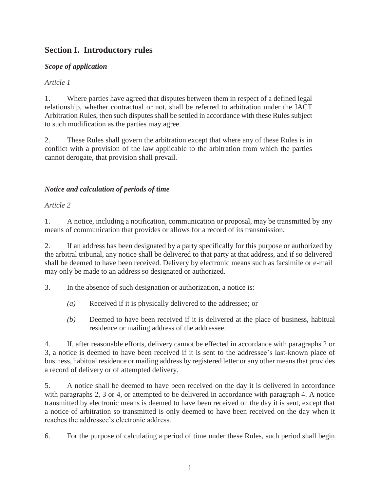# **Section I. Introductory rules**

## *Scope of application*

## *Article 1*

1. Where parties have agreed that disputes between them in respect of a defined legal relationship, whether contractual or not, shall be referred to arbitration under the IACT Arbitration Rules, then such disputes shall be settled in accordance with these Rules subject to such modification as the parties may agree.

2. These Rules shall govern the arbitration except that where any of these Rules is in conflict with a provision of the law applicable to the arbitration from which the parties cannot derogate, that provision shall prevail.

## *Notice and calculation of periods of time*

## *Article 2*

1. A notice, including a notification, communication or proposal, may be transmitted by any means of communication that provides or allows for a record of its transmission.

2. If an address has been designated by a party specifically for this purpose or authorized by the arbitral tribunal, any notice shall be delivered to that party at that address, and if so delivered shall be deemed to have been received. Delivery by electronic means such as facsimile or e-mail may only be made to an address so designated or authorized.

3. In the absence of such designation or authorization, a notice is:

- *(a)* Received if it is physically delivered to the addressee; or
- *(b)* Deemed to have been received if it is delivered at the place of business, habitual residence or mailing address of the addressee.

4. If, after reasonable efforts, delivery cannot be effected in accordance with paragraphs 2 or 3, a notice is deemed to have been received if it is sent to the addressee's last-known place of business, habitual residence or mailing address by registered letter or any other means that provides a record of delivery or of attempted delivery.

5. A notice shall be deemed to have been received on the day it is delivered in accordance with paragraphs 2, 3 or 4, or attempted to be delivered in accordance with paragraph 4. A notice transmitted by electronic means is deemed to have been received on the day it is sent, except that a notice of arbitration so transmitted is only deemed to have been received on the day when it reaches the addressee's electronic address.

6. For the purpose of calculating a period of time under these Rules, such period shall begin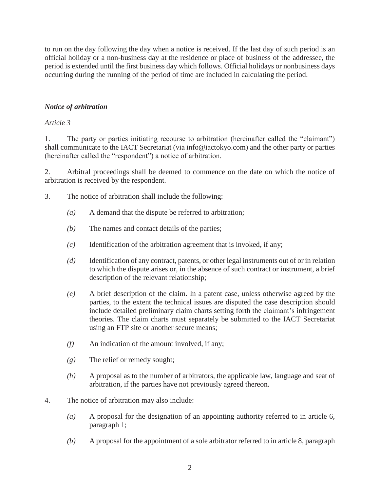to run on the day following the day when a notice is received. If the last day of such period is an official holiday or a non-business day at the residence or place of business of the addressee, the period is extended until the first business day which follows. Official holidays or nonbusiness days occurring during the running of the period of time are included in calculating the period.

## *Notice of arbitration*

## *Article 3*

1. The party or parties initiating recourse to arbitration (hereinafter called the "claimant") shall communicate to the IACT Secretariat (via info@iactokyo.com) and the other party or parties (hereinafter called the "respondent") a notice of arbitration.

2. Arbitral proceedings shall be deemed to commence on the date on which the notice of arbitration is received by the respondent.

- 3. The notice of arbitration shall include the following:
	- *(a)* A demand that the dispute be referred to arbitration;
	- *(b)* The names and contact details of the parties;
	- *(c)* Identification of the arbitration agreement that is invoked, if any;
	- *(d)* Identification of any contract, patents, or other legal instruments out of or in relation to which the dispute arises or, in the absence of such contract or instrument, a brief description of the relevant relationship;
	- *(e)* A brief description of the claim. In a patent case, unless otherwise agreed by the parties, to the extent the technical issues are disputed the case description should include detailed preliminary claim charts setting forth the claimant's infringement theories. The claim charts must separately be submitted to the IACT Secretariat using an FTP site or another secure means;
	- *(f)* An indication of the amount involved, if any;
	- *(g)* The relief or remedy sought;
	- *(h)* A proposal as to the number of arbitrators, the applicable law, language and seat of arbitration, if the parties have not previously agreed thereon.
- 4. The notice of arbitration may also include:
	- *(a)* A proposal for the designation of an appointing authority referred to in article 6, paragraph 1;
	- *(b)* A proposal for the appointment of a sole arbitrator referred to in article 8, paragraph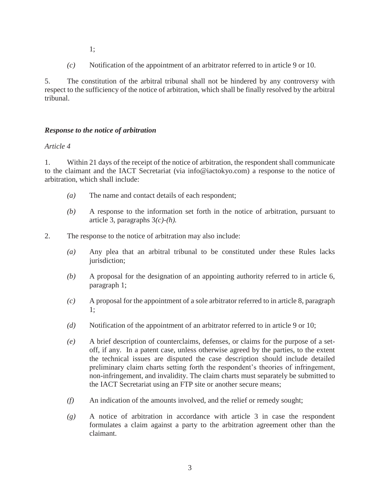1;

*(c)* Notification of the appointment of an arbitrator referred to in article 9 or 10.

5. The constitution of the arbitral tribunal shall not be hindered by any controversy with respect to the sufficiency of the notice of arbitration, which shall be finally resolved by the arbitral tribunal.

## *Response to the notice of arbitration*

## *Article 4*

1. Within 21 days of the receipt of the notice of arbitration, the respondent shall communicate to the claimant and the IACT Secretariat (via info@iactokyo.com) a response to the notice of arbitration, which shall include:

- *(a)* The name and contact details of each respondent;
- *(b)* A response to the information set forth in the notice of arbitration, pursuant to article 3, paragraphs 3*(c)-(h).*
- 2. The response to the notice of arbitration may also include:
	- *(a)* Any plea that an arbitral tribunal to be constituted under these Rules lacks jurisdiction;
	- *(b)* A proposal for the designation of an appointing authority referred to in article 6, paragraph 1;
	- *(c)* A proposal for the appointment of a sole arbitrator referred to in article 8, paragraph 1;
	- *(d)* Notification of the appointment of an arbitrator referred to in article 9 or 10;
	- *(e)* A brief description of counterclaims, defenses, or claims for the purpose of a setoff, if any. In a patent case, unless otherwise agreed by the parties, to the extent the technical issues are disputed the case description should include detailed preliminary claim charts setting forth the respondent's theories of infringement, non-infringement, and invalidity. The claim charts must separately be submitted to the IACT Secretariat using an FTP site or another secure means;
	- *(f)* An indication of the amounts involved, and the relief or remedy sought;
	- *(g)* A notice of arbitration in accordance with article 3 in case the respondent formulates a claim against a party to the arbitration agreement other than the claimant.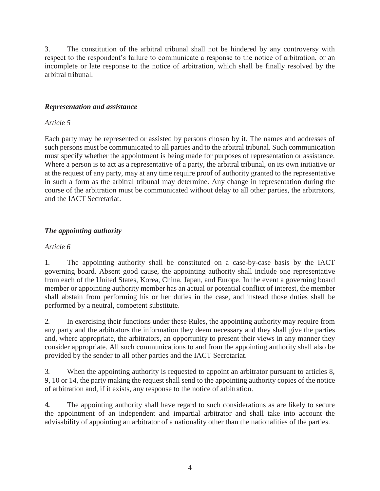3. The constitution of the arbitral tribunal shall not be hindered by any controversy with respect to the respondent's failure to communicate a response to the notice of arbitration, or an incomplete or late response to the notice of arbitration, which shall be finally resolved by the arbitral tribunal.

#### *Representation and assistance*

## *Article 5*

Each party may be represented or assisted by persons chosen by it. The names and addresses of such persons must be communicated to all parties and to the arbitral tribunal. Such communication must specify whether the appointment is being made for purposes of representation or assistance. Where a person is to act as a representative of a party, the arbitral tribunal, on its own initiative or at the request of any party, may at any time require proof of authority granted to the representative in such a form as the arbitral tribunal may determine. Any change in representation during the course of the arbitration must be communicated without delay to all other parties, the arbitrators, and the IACT Secretariat.

## *The appointing authority*

#### *Article 6*

1. The appointing authority shall be constituted on a case-by-case basis by the IACT governing board. Absent good cause, the appointing authority shall include one representative from each of the United States, Korea, China, Japan, and Europe. In the event a governing board member or appointing authority member has an actual or potential conflict of interest, the member shall abstain from performing his or her duties in the case, and instead those duties shall be performed by a neutral, competent substitute.

2. In exercising their functions under these Rules, the appointing authority may require from any party and the arbitrators the information they deem necessary and they shall give the parties and, where appropriate, the arbitrators, an opportunity to present their views in any manner they consider appropriate. All such communications to and from the appointing authority shall also be provided by the sender to all other parties and the IACT Secretariat.

3. When the appointing authority is requested to appoint an arbitrator pursuant to articles 8, 9, 10 or 14, the party making the request shall send to the appointing authority copies of the notice of arbitration and, if it exists, any response to the notice of arbitration.

**4.** The appointing authority shall have regard to such considerations as are likely to secure the appointment of an independent and impartial arbitrator and shall take into account the advisability of appointing an arbitrator of a nationality other than the nationalities of the parties.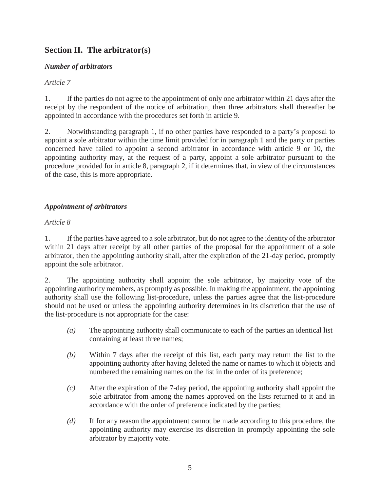# **Section II. The arbitrator(s)**

## *Number of arbitrators*

## *Article 7*

1. If the parties do not agree to the appointment of only one arbitrator within 21 days after the receipt by the respondent of the notice of arbitration, then three arbitrators shall thereafter be appointed in accordance with the procedures set forth in article 9.

2. Notwithstanding paragraph 1, if no other parties have responded to a party's proposal to appoint a sole arbitrator within the time limit provided for in paragraph 1 and the party or parties concerned have failed to appoint a second arbitrator in accordance with article 9 or 10, the appointing authority may, at the request of a party, appoint a sole arbitrator pursuant to the procedure provided for in article 8, paragraph 2, if it determines that, in view of the circumstances of the case, this is more appropriate.

## *Appointment of arbitrators*

## *Article 8*

1. If the parties have agreed to a sole arbitrator, but do not agree to the identity of the arbitrator within 21 days after receipt by all other parties of the proposal for the appointment of a sole arbitrator, then the appointing authority shall, after the expiration of the 21-day period, promptly appoint the sole arbitrator.

2. The appointing authority shall appoint the sole arbitrator, by majority vote of the appointing authority members, as promptly as possible. In making the appointment, the appointing authority shall use the following list-procedure, unless the parties agree that the list-procedure should not be used or unless the appointing authority determines in its discretion that the use of the list-procedure is not appropriate for the case:

- *(a)* The appointing authority shall communicate to each of the parties an identical list containing at least three names;
- *(b)* Within 7 days after the receipt of this list, each party may return the list to the appointing authority after having deleted the name or names to which it objects and numbered the remaining names on the list in the order of its preference;
- *(c)* After the expiration of the 7-day period, the appointing authority shall appoint the sole arbitrator from among the names approved on the lists returned to it and in accordance with the order of preference indicated by the parties;
- *(d)* If for any reason the appointment cannot be made according to this procedure, the appointing authority may exercise its discretion in promptly appointing the sole arbitrator by majority vote.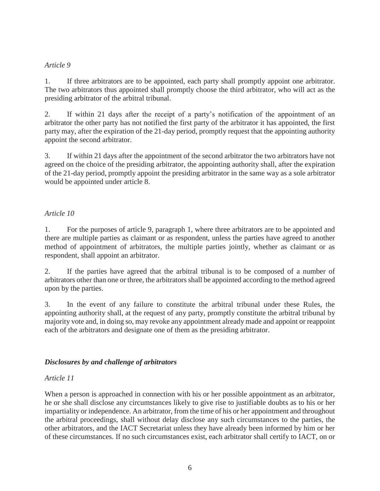#### *Article 9*

1. If three arbitrators are to be appointed, each party shall promptly appoint one arbitrator. The two arbitrators thus appointed shall promptly choose the third arbitrator, who will act as the presiding arbitrator of the arbitral tribunal.

2. If within 21 days after the receipt of a party's notification of the appointment of an arbitrator the other party has not notified the first party of the arbitrator it has appointed, the first party may, after the expiration of the 21-day period, promptly request that the appointing authority appoint the second arbitrator.

3. If within 21 days after the appointment of the second arbitrator the two arbitrators have not agreed on the choice of the presiding arbitrator, the appointing authority shall, after the expiration of the 21-day period, promptly appoint the presiding arbitrator in the same way as a sole arbitrator would be appointed under article 8.

#### *Article 10*

1. For the purposes of article 9, paragraph 1, where three arbitrators are to be appointed and there are multiple parties as claimant or as respondent, unless the parties have agreed to another method of appointment of arbitrators, the multiple parties jointly, whether as claimant or as respondent, shall appoint an arbitrator.

2. If the parties have agreed that the arbitral tribunal is to be composed of a number of arbitrators other than one or three, the arbitrators shall be appointed according to the method agreed upon by the parties.

3. In the event of any failure to constitute the arbitral tribunal under these Rules, the appointing authority shall, at the request of any party, promptly constitute the arbitral tribunal by majority vote and, in doing so, may revoke any appointment already made and appoint or reappoint each of the arbitrators and designate one of them as the presiding arbitrator.

## *Disclosures by and challenge of arbitrators*

## *Article 11*

When a person is approached in connection with his or her possible appointment as an arbitrator, he or she shall disclose any circumstances likely to give rise to justifiable doubts as to his or her impartiality or independence. An arbitrator, from the time of his or her appointment and throughout the arbitral proceedings, shall without delay disclose any such circumstances to the parties, the other arbitrators, and the IACT Secretariat unless they have already been informed by him or her of these circumstances. If no such circumstances exist, each arbitrator shall certify to IACT, on or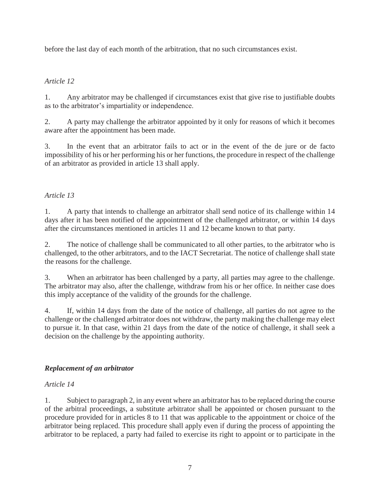before the last day of each month of the arbitration, that no such circumstances exist.

## *Article 12*

1. Any arbitrator may be challenged if circumstances exist that give rise to justifiable doubts as to the arbitrator's impartiality or independence.

2. A party may challenge the arbitrator appointed by it only for reasons of which it becomes aware after the appointment has been made.

3. In the event that an arbitrator fails to act or in the event of the de jure or de facto impossibility of his or her performing his or her functions, the procedure in respect of the challenge of an arbitrator as provided in article 13 shall apply.

## *Article 13*

1. A party that intends to challenge an arbitrator shall send notice of its challenge within 14 days after it has been notified of the appointment of the challenged arbitrator, or within 14 days after the circumstances mentioned in articles 11 and 12 became known to that party.

2. The notice of challenge shall be communicated to all other parties, to the arbitrator who is challenged, to the other arbitrators, and to the IACT Secretariat. The notice of challenge shall state the reasons for the challenge.

3. When an arbitrator has been challenged by a party, all parties may agree to the challenge. The arbitrator may also, after the challenge, withdraw from his or her office. In neither case does this imply acceptance of the validity of the grounds for the challenge.

4. If, within 14 days from the date of the notice of challenge, all parties do not agree to the challenge or the challenged arbitrator does not withdraw, the party making the challenge may elect to pursue it. In that case, within 21 days from the date of the notice of challenge, it shall seek a decision on the challenge by the appointing authority.

## *Replacement of an arbitrator*

## *Article 14*

1. Subject to paragraph 2, in any event where an arbitrator has to be replaced during the course of the arbitral proceedings, a substitute arbitrator shall be appointed or chosen pursuant to the procedure provided for in articles 8 to 11 that was applicable to the appointment or choice of the arbitrator being replaced. This procedure shall apply even if during the process of appointing the arbitrator to be replaced, a party had failed to exercise its right to appoint or to participate in the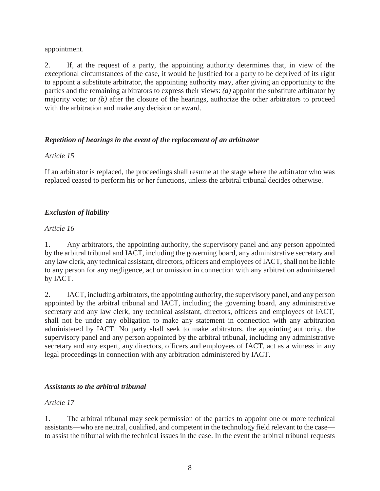appointment.

2. If, at the request of a party, the appointing authority determines that, in view of the exceptional circumstances of the case, it would be justified for a party to be deprived of its right to appoint a substitute arbitrator, the appointing authority may, after giving an opportunity to the parties and the remaining arbitrators to express their views: *(a)* appoint the substitute arbitrator by majority vote; or *(b)* after the closure of the hearings, authorize the other arbitrators to proceed with the arbitration and make any decision or award.

## *Repetition of hearings in the event of the replacement of an arbitrator*

## *Article 15*

If an arbitrator is replaced, the proceedings shall resume at the stage where the arbitrator who was replaced ceased to perform his or her functions, unless the arbitral tribunal decides otherwise.

## *Exclusion of liability*

## *Article 16*

1. Any arbitrators, the appointing authority, the supervisory panel and any person appointed by the arbitral tribunal and IACT, including the governing board, any administrative secretary and any law clerk, any technical assistant, directors, officers and employees of IACT, shall not be liable to any person for any negligence, act or omission in connection with any arbitration administered by IACT.

2. IACT, including arbitrators, the appointing authority, the supervisory panel, and any person appointed by the arbitral tribunal and IACT, including the governing board, any administrative secretary and any law clerk, any technical assistant, directors, officers and employees of IACT, shall not be under any obligation to make any statement in connection with any arbitration administered by IACT. No party shall seek to make arbitrators, the appointing authority, the supervisory panel and any person appointed by the arbitral tribunal, including any administrative secretary and any expert, any directors, officers and employees of IACT, act as a witness in any legal proceedings in connection with any arbitration administered by IACT.

## *Assistants to the arbitral tribunal*

## *Article 17*

1. The arbitral tribunal may seek permission of the parties to appoint one or more technical assistants—who are neutral, qualified, and competent in the technology field relevant to the case to assist the tribunal with the technical issues in the case. In the event the arbitral tribunal requests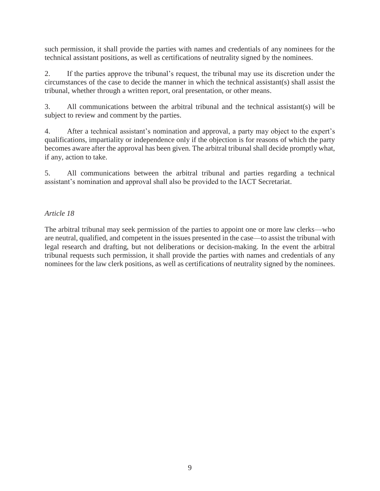such permission, it shall provide the parties with names and credentials of any nominees for the technical assistant positions, as well as certifications of neutrality signed by the nominees.

2. If the parties approve the tribunal's request, the tribunal may use its discretion under the circumstances of the case to decide the manner in which the technical assistant(s) shall assist the tribunal, whether through a written report, oral presentation, or other means.

3. All communications between the arbitral tribunal and the technical assistant(s) will be subject to review and comment by the parties.

4. After a technical assistant's nomination and approval, a party may object to the expert's qualifications, impartiality or independence only if the objection is for reasons of which the party becomes aware after the approval has been given. The arbitral tribunal shall decide promptly what, if any, action to take.

5. All communications between the arbitral tribunal and parties regarding a technical assistant's nomination and approval shall also be provided to the IACT Secretariat.

## *Article 18*

The arbitral tribunal may seek permission of the parties to appoint one or more law clerks—who are neutral, qualified, and competent in the issues presented in the case—to assist the tribunal with legal research and drafting, but not deliberations or decision-making. In the event the arbitral tribunal requests such permission, it shall provide the parties with names and credentials of any nominees for the law clerk positions, as well as certifications of neutrality signed by the nominees.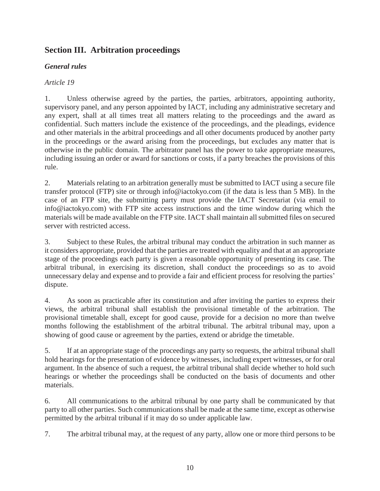# **Section III. Arbitration proceedings**

## *General rules*

## *Article 19*

1. Unless otherwise agreed by the parties, the parties, arbitrators, appointing authority, supervisory panel, and any person appointed by IACT, including any administrative secretary and any expert, shall at all times treat all matters relating to the proceedings and the award as confidential. Such matters include the existence of the proceedings, and the pleadings, evidence and other materials in the arbitral proceedings and all other documents produced by another party in the proceedings or the award arising from the proceedings, but excludes any matter that is otherwise in the public domain. The arbitrator panel has the power to take appropriate measures, including issuing an order or award for sanctions or costs, if a party breaches the provisions of this rule.

2. Materials relating to an arbitration generally must be submitted to IACT using a secure file transfer protocol (FTP) site or through info@iactokyo.com (if the data is less than 5 MB). In the case of an FTP site, the submitting party must provide the IACT Secretariat (via email to info@iactokyo.com) with FTP site access instructions and the time window during which the materials will be made available on the FTP site. IACT shall maintain all submitted files on secured server with restricted access.

3. Subject to these Rules, the arbitral tribunal may conduct the arbitration in such manner as it considers appropriate, provided that the parties are treated with equality and that at an appropriate stage of the proceedings each party is given a reasonable opportunity of presenting its case. The arbitral tribunal, in exercising its discretion, shall conduct the proceedings so as to avoid unnecessary delay and expense and to provide a fair and efficient process for resolving the parties' dispute.

4. As soon as practicable after its constitution and after inviting the parties to express their views, the arbitral tribunal shall establish the provisional timetable of the arbitration. The provisional timetable shall, except for good cause, provide for a decision no more than twelve months following the establishment of the arbitral tribunal. The arbitral tribunal may, upon a showing of good cause or agreement by the parties, extend or abridge the timetable.

5. If at an appropriate stage of the proceedings any party so requests, the arbitral tribunal shall hold hearings for the presentation of evidence by witnesses, including expert witnesses, or for oral argument. In the absence of such a request, the arbitral tribunal shall decide whether to hold such hearings or whether the proceedings shall be conducted on the basis of documents and other materials.

6. All communications to the arbitral tribunal by one party shall be communicated by that party to all other parties. Such communications shall be made at the same time, except as otherwise permitted by the arbitral tribunal if it may do so under applicable law.

7. The arbitral tribunal may, at the request of any party, allow one or more third persons to be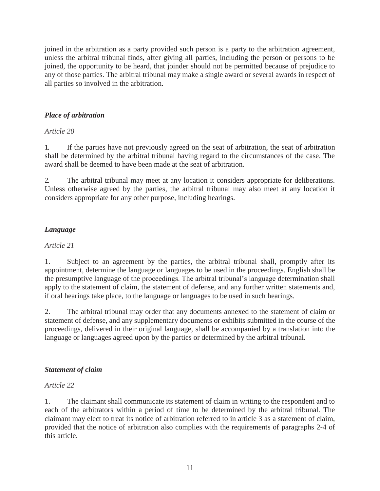joined in the arbitration as a party provided such person is a party to the arbitration agreement, unless the arbitral tribunal finds, after giving all parties, including the person or persons to be joined, the opportunity to be heard, that joinder should not be permitted because of prejudice to any of those parties. The arbitral tribunal may make a single award or several awards in respect of all parties so involved in the arbitration.

## *Place of arbitration*

## *Article 20*

1. If the parties have not previously agreed on the seat of arbitration, the seat of arbitration shall be determined by the arbitral tribunal having regard to the circumstances of the case. The award shall be deemed to have been made at the seat of arbitration.

2. The arbitral tribunal may meet at any location it considers appropriate for deliberations. Unless otherwise agreed by the parties, the arbitral tribunal may also meet at any location it considers appropriate for any other purpose, including hearings.

## *Language*

*Article 21*

1. Subject to an agreement by the parties, the arbitral tribunal shall, promptly after its appointment, determine the language or languages to be used in the proceedings. English shall be the presumptive language of the proceedings. The arbitral tribunal's language determination shall apply to the statement of claim, the statement of defense, and any further written statements and, if oral hearings take place, to the language or languages to be used in such hearings.

2. The arbitral tribunal may order that any documents annexed to the statement of claim or statement of defense, and any supplementary documents or exhibits submitted in the course of the proceedings, delivered in their original language, shall be accompanied by a translation into the language or languages agreed upon by the parties or determined by the arbitral tribunal.

## *Statement of claim*

## *Article 22*

1. The claimant shall communicate its statement of claim in writing to the respondent and to each of the arbitrators within a period of time to be determined by the arbitral tribunal. The claimant may elect to treat its notice of arbitration referred to in article 3 as a statement of claim, provided that the notice of arbitration also complies with the requirements of paragraphs 2-4 of this article.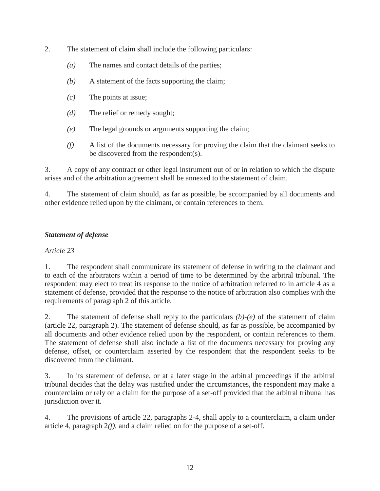- 2. The statement of claim shall include the following particulars:
	- *(a)* The names and contact details of the parties;
	- *(b)* A statement of the facts supporting the claim;
	- *(c)* The points at issue;
	- *(d)* The relief or remedy sought;
	- *(e)* The legal grounds or arguments supporting the claim;
	- *(f)* A list of the documents necessary for proving the claim that the claimant seeks to be discovered from the respondent(s).

3. A copy of any contract or other legal instrument out of or in relation to which the dispute arises and of the arbitration agreement shall be annexed to the statement of claim.

4. The statement of claim should, as far as possible, be accompanied by all documents and other evidence relied upon by the claimant, or contain references to them.

## *Statement of defense*

## *Article 23*

1. The respondent shall communicate its statement of defense in writing to the claimant and to each of the arbitrators within a period of time to be determined by the arbitral tribunal. The respondent may elect to treat its response to the notice of arbitration referred to in article 4 as a statement of defense, provided that the response to the notice of arbitration also complies with the requirements of paragraph 2 of this article.

2. The statement of defense shall reply to the particulars *(b)*-*(e)* of the statement of claim (article 22, paragraph 2). The statement of defense should, as far as possible, be accompanied by all documents and other evidence relied upon by the respondent, or contain references to them. The statement of defense shall also include a list of the documents necessary for proving any defense, offset, or counterclaim asserted by the respondent that the respondent seeks to be discovered from the claimant.

3. In its statement of defense, or at a later stage in the arbitral proceedings if the arbitral tribunal decides that the delay was justified under the circumstances, the respondent may make a counterclaim or rely on a claim for the purpose of a set-off provided that the arbitral tribunal has jurisdiction over it.

4. The provisions of article 22, paragraphs 2-4, shall apply to a counterclaim, a claim under article 4, paragraph 2*(f)*, and a claim relied on for the purpose of a set-off.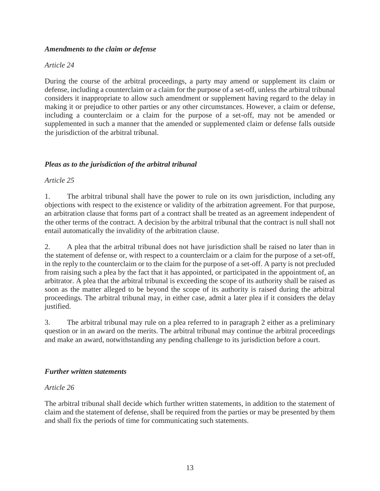#### *Amendments to the claim or defense*

#### *Article 24*

During the course of the arbitral proceedings, a party may amend or supplement its claim or defense, including a counterclaim or a claim for the purpose of a set-off, unless the arbitral tribunal considers it inappropriate to allow such amendment or supplement having regard to the delay in making it or prejudice to other parties or any other circumstances. However, a claim or defense, including a counterclaim or a claim for the purpose of a set-off, may not be amended or supplemented in such a manner that the amended or supplemented claim or defense falls outside the jurisdiction of the arbitral tribunal.

## *Pleas as to the jurisdiction of the arbitral tribunal*

#### *Article 25*

1. The arbitral tribunal shall have the power to rule on its own jurisdiction, including any objections with respect to the existence or validity of the arbitration agreement. For that purpose, an arbitration clause that forms part of a contract shall be treated as an agreement independent of the other terms of the contract. A decision by the arbitral tribunal that the contract is null shall not entail automatically the invalidity of the arbitration clause.

2. A plea that the arbitral tribunal does not have jurisdiction shall be raised no later than in the statement of defense or, with respect to a counterclaim or a claim for the purpose of a set-off, in the reply to the counterclaim or to the claim for the purpose of a set-off. A party is not precluded from raising such a plea by the fact that it has appointed, or participated in the appointment of, an arbitrator. A plea that the arbitral tribunal is exceeding the scope of its authority shall be raised as soon as the matter alleged to be beyond the scope of its authority is raised during the arbitral proceedings. The arbitral tribunal may, in either case, admit a later plea if it considers the delay justified.

3. The arbitral tribunal may rule on a plea referred to in paragraph 2 either as a preliminary question or in an award on the merits. The arbitral tribunal may continue the arbitral proceedings and make an award, notwithstanding any pending challenge to its jurisdiction before a court.

#### *Further written statements*

#### *Article 26*

The arbitral tribunal shall decide which further written statements, in addition to the statement of claim and the statement of defense, shall be required from the parties or may be presented by them and shall fix the periods of time for communicating such statements.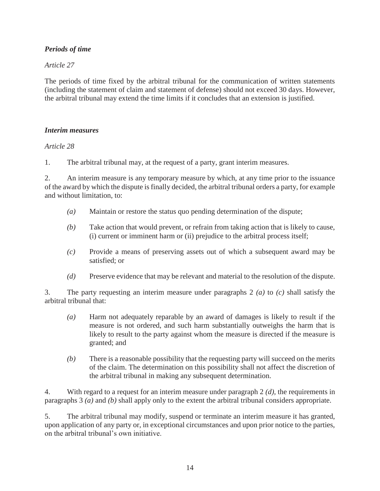## *Periods of time*

## *Article 27*

The periods of time fixed by the arbitral tribunal for the communication of written statements (including the statement of claim and statement of defense) should not exceed 30 days. However, the arbitral tribunal may extend the time limits if it concludes that an extension is justified.

#### *Interim measures*

#### *Article 28*

1. The arbitral tribunal may, at the request of a party, grant interim measures.

2. An interim measure is any temporary measure by which, at any time prior to the issuance of the award by which the dispute is finally decided, the arbitral tribunal orders a party, for example and without limitation, to:

- *(a)* Maintain or restore the status quo pending determination of the dispute;
- *(b)* Take action that would prevent, or refrain from taking action that is likely to cause, (i) current or imminent harm or (ii) prejudice to the arbitral process itself;
- *(c)* Provide a means of preserving assets out of which a subsequent award may be satisfied; or
- *(d)* Preserve evidence that may be relevant and material to the resolution of the dispute.

3. The party requesting an interim measure under paragraphs 2 *(a)* to *(c)* shall satisfy the arbitral tribunal that:

- *(a)* Harm not adequately reparable by an award of damages is likely to result if the measure is not ordered, and such harm substantially outweighs the harm that is likely to result to the party against whom the measure is directed if the measure is granted; and
- *(b)* There is a reasonable possibility that the requesting party will succeed on the merits of the claim. The determination on this possibility shall not affect the discretion of the arbitral tribunal in making any subsequent determination.

4. With regard to a request for an interim measure under paragraph 2 *(d),* the requirements in paragraphs 3 *(a)* and *(b)* shall apply only to the extent the arbitral tribunal considers appropriate.

5. The arbitral tribunal may modify, suspend or terminate an interim measure it has granted, upon application of any party or, in exceptional circumstances and upon prior notice to the parties, on the arbitral tribunal's own initiative.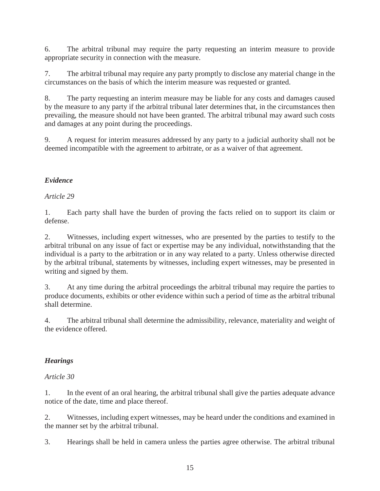6. The arbitral tribunal may require the party requesting an interim measure to provide appropriate security in connection with the measure.

7. The arbitral tribunal may require any party promptly to disclose any material change in the circumstances on the basis of which the interim measure was requested or granted.

8. The party requesting an interim measure may be liable for any costs and damages caused by the measure to any party if the arbitral tribunal later determines that, in the circumstances then prevailing, the measure should not have been granted. The arbitral tribunal may award such costs and damages at any point during the proceedings.

9. A request for interim measures addressed by any party to a judicial authority shall not be deemed incompatible with the agreement to arbitrate, or as a waiver of that agreement.

# *Evidence*

# *Article 29*

1. Each party shall have the burden of proving the facts relied on to support its claim or defense.

2. Witnesses, including expert witnesses, who are presented by the parties to testify to the arbitral tribunal on any issue of fact or expertise may be any individual, notwithstanding that the individual is a party to the arbitration or in any way related to a party. Unless otherwise directed by the arbitral tribunal, statements by witnesses, including expert witnesses, may be presented in writing and signed by them.

3. At any time during the arbitral proceedings the arbitral tribunal may require the parties to produce documents, exhibits or other evidence within such a period of time as the arbitral tribunal shall determine.

4. The arbitral tribunal shall determine the admissibility, relevance, materiality and weight of the evidence offered.

# *Hearings*

## *Article 30*

1. In the event of an oral hearing, the arbitral tribunal shall give the parties adequate advance notice of the date, time and place thereof.

2. Witnesses, including expert witnesses, may be heard under the conditions and examined in the manner set by the arbitral tribunal.

3. Hearings shall be held in camera unless the parties agree otherwise. The arbitral tribunal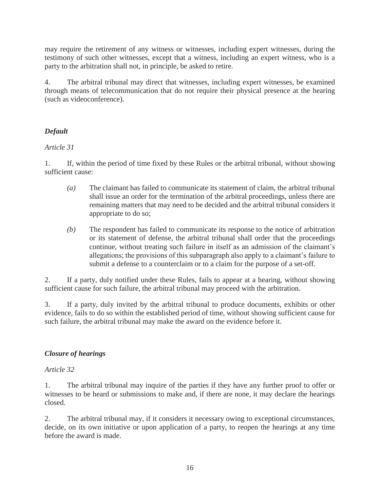may require the retirement of any witness or witnesses, including expert witnesses, during the testimony of such other witnesses, except that a witness, including an expert witness, who is a party to the arbitration shall not, in principle, be asked to retire.

4. The arbitral tribunal may direct that witnesses, including expert witnesses, be examined through means of telecommunication that do not require their physical presence at the hearing (such as videoconference).

## *Default*

## *Article 31*

1. If, within the period of time fixed by these Rules or the arbitral tribunal, without showing sufficient cause:

- *(a)* The claimant has failed to communicate its statement of claim, the arbitral tribunal shall issue an order for the termination of the arbitral proceedings, unless there are remaining matters that may need to be decided and the arbitral tribunal considers it appropriate to do so;
- *(b)* The respondent has failed to communicate its response to the notice of arbitration or its statement of defense, the arbitral tribunal shall order that the proceedings continue, without treating such failure in itself as an admission of the claimant's allegations; the provisions of this subparagraph also apply to a claimant's failure to submit a defense to a counterclaim or to a claim for the purpose of a set-off.

2. If a party, duly notified under these Rules, fails to appear at a hearing, without showing sufficient cause for such failure, the arbitral tribunal may proceed with the arbitration.

3. If a party, duly invited by the arbitral tribunal to produce documents, exhibits or other evidence, fails to do so within the established period of time, without showing sufficient cause for such failure, the arbitral tribunal may make the award on the evidence before it.

## *Closure of hearings*

## *Article 32*

1. The arbitral tribunal may inquire of the parties if they have any further proof to offer or witnesses to be heard or submissions to make and, if there are none, it may declare the hearings closed.

2. The arbitral tribunal may, if it considers it necessary owing to exceptional circumstances, decide, on its own initiative or upon application of a party, to reopen the hearings at any time before the award is made.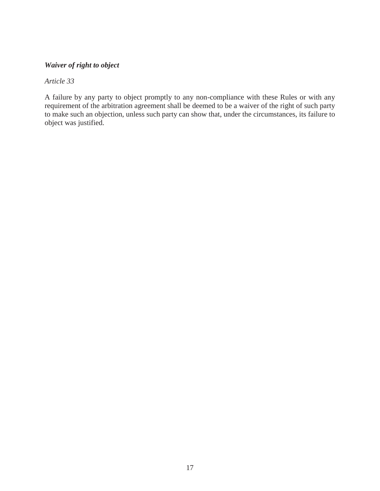## *Waiver of right to object*

*Article 33*

A failure by any party to object promptly to any non-compliance with these Rules or with any requirement of the arbitration agreement shall be deemed to be a waiver of the right of such party to make such an objection, unless such party can show that, under the circumstances, its failure to object was justified.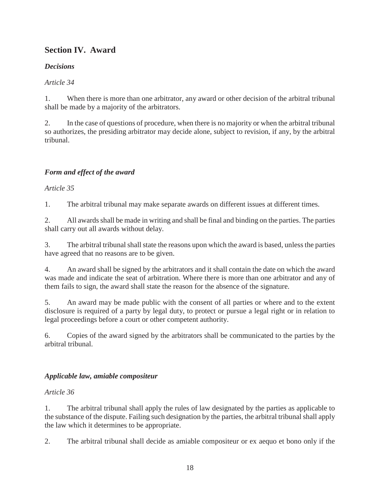# **Section IV. Award**

# *Decisions*

# *Article 34*

1. When there is more than one arbitrator, any award or other decision of the arbitral tribunal shall be made by a majority of the arbitrators.

2. In the case of questions of procedure, when there is no majority or when the arbitral tribunal so authorizes, the presiding arbitrator may decide alone, subject to revision, if any, by the arbitral tribunal.

# *Form and effect of the award*

## *Article 35*

1. The arbitral tribunal may make separate awards on different issues at different times.

2. All awards shall be made in writing and shall be final and binding on the parties. The parties shall carry out all awards without delay.

3. The arbitral tribunal shall state the reasons upon which the award is based, unless the parties have agreed that no reasons are to be given.

4. An award shall be signed by the arbitrators and it shall contain the date on which the award was made and indicate the seat of arbitration. Where there is more than one arbitrator and any of them fails to sign, the award shall state the reason for the absence of the signature.

5. An award may be made public with the consent of all parties or where and to the extent disclosure is required of a party by legal duty, to protect or pursue a legal right or in relation to legal proceedings before a court or other competent authority.

6. Copies of the award signed by the arbitrators shall be communicated to the parties by the arbitral tribunal.

# *Applicable law, amiable compositeur*

## *Article 36*

1. The arbitral tribunal shall apply the rules of law designated by the parties as applicable to the substance of the dispute. Failing such designation by the parties, the arbitral tribunal shall apply the law which it determines to be appropriate.

2. The arbitral tribunal shall decide as amiable compositeur or ex aequo et bono only if the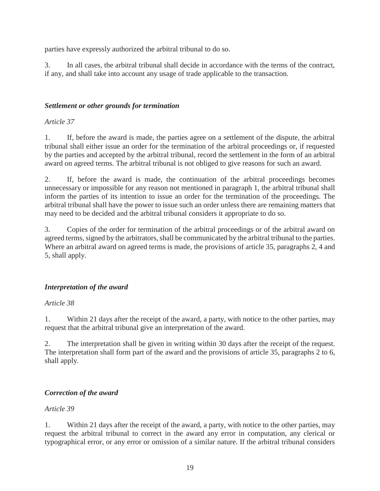parties have expressly authorized the arbitral tribunal to do so.

3. In all cases, the arbitral tribunal shall decide in accordance with the terms of the contract, if any, and shall take into account any usage of trade applicable to the transaction.

## *Settlement or other grounds for termination*

## *Article 37*

1. If, before the award is made, the parties agree on a settlement of the dispute, the arbitral tribunal shall either issue an order for the termination of the arbitral proceedings or, if requested by the parties and accepted by the arbitral tribunal, record the settlement in the form of an arbitral award on agreed terms. The arbitral tribunal is not obliged to give reasons for such an award.

2. If, before the award is made, the continuation of the arbitral proceedings becomes unnecessary or impossible for any reason not mentioned in paragraph 1, the arbitral tribunal shall inform the parties of its intention to issue an order for the termination of the proceedings. The arbitral tribunal shall have the power to issue such an order unless there are remaining matters that may need to be decided and the arbitral tribunal considers it appropriate to do so.

3. Copies of the order for termination of the arbitral proceedings or of the arbitral award on agreed terms, signed by the arbitrators, shall be communicated by the arbitral tribunal to the parties. Where an arbitral award on agreed terms is made, the provisions of article 35, paragraphs 2, 4 and 5, shall apply.

## *Interpretation of the award*

## *Article 38*

1. Within 21 days after the receipt of the award, a party, with notice to the other parties, may request that the arbitral tribunal give an interpretation of the award.

2. The interpretation shall be given in writing within 30 days after the receipt of the request. The interpretation shall form part of the award and the provisions of article 35, paragraphs 2 to 6, shall apply.

## *Correction of the award*

## *Article 39*

1. Within 21 days after the receipt of the award, a party, with notice to the other parties, may request the arbitral tribunal to correct in the award any error in computation, any clerical or typographical error, or any error or omission of a similar nature. If the arbitral tribunal considers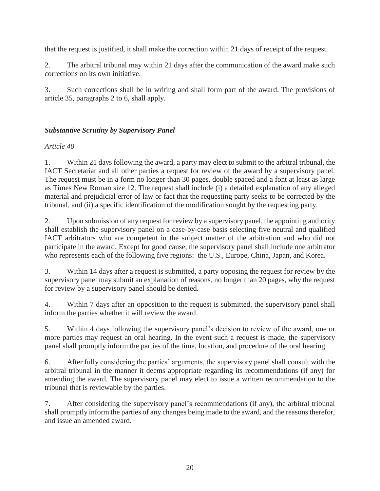that the request is justified, it shall make the correction within 21 days of receipt of the request.

2. The arbitral tribunal may within 21 days after the communication of the award make such corrections on its own initiative.

3. Such corrections shall be in writing and shall form part of the award. The provisions of article 35, paragraphs 2 to 6, shall apply.

## *Substantive Scrutiny by Supervisory Panel*

## *Article 40*

1. Within 21 days following the award, a party may elect to submit to the arbitral tribunal, the IACT Secretariat and all other parties a request for review of the award by a supervisory panel. The request must be in a form no longer than 30 pages, double spaced and a font at least as large as Times New Roman size 12. The request shall include (i) a detailed explanation of any alleged material and prejudicial error of law or fact that the requesting party seeks to be corrected by the tribunal, and (ii) a specific identification of the modification sought by the requesting party.

2. Upon submission of any request for review by a supervisory panel, the appointing authority shall establish the supervisory panel on a case-by-case basis selecting five neutral and qualified IACT arbitrators who are competent in the subject matter of the arbitration and who did not participate in the award. Except for good cause, the supervisory panel shall include one arbitrator who represents each of the following five regions: the U.S., Europe, China, Japan, and Korea.

3. Within 14 days after a request is submitted, a party opposing the request for review by the supervisory panel may submit an explanation of reasons, no longer than 20 pages, why the request for review by a supervisory panel should be denied.

4. Within 7 days after an opposition to the request is submitted, the supervisory panel shall inform the parties whether it will review the award.

5. Within 4 days following the supervisory panel's decision to review of the award, one or more parties may request an oral hearing. In the event such a request is made, the supervisory panel shall promptly inform the parties of the time, location, and procedure of the oral hearing.

6. After fully considering the parties' arguments, the supervisory panel shall consult with the arbitral tribunal in the manner it deems appropriate regarding its recommendations (if any) for amending the award. The supervisory panel may elect to issue a written recommendation to the tribunal that is reviewable by the parties.

7. After considering the supervisory panel's recommendations (if any), the arbitral tribunal shall promptly inform the parties of any changes being made to the award, and the reasons therefor, and issue an amended award.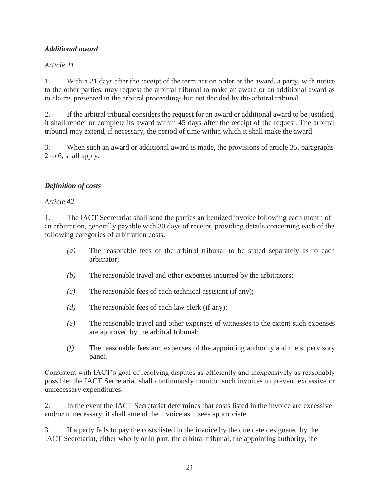## *Additional award*

## *Article 41*

1. Within 21 days after the receipt of the termination order or the award, a party, with notice to the other parties, may request the arbitral tribunal to make an award or an additional award as to claims presented in the arbitral proceedings but not decided by the arbitral tribunal.

2. If the arbitral tribunal considers the request for an award or additional award to be justified, it shall render or complete its award within 45 days after the receipt of the request. The arbitral tribunal may extend, if necessary, the period of time within which it shall make the award.

3. When such an award or additional award is made, the provisions of article 35, paragraphs 2 to 6, shall apply.

## *Definition of costs*

## *Article 42*

1. The IACT Secretariat shall send the parties an itemized invoice following each month of an arbitration, generally payable with 30 days of receipt, providing details concerning each of the following categories of arbitration costs:

- *(a)* The reasonable fees of the arbitral tribunal to be stated separately as to each arbitrator;
- *(b)* The reasonable travel and other expenses incurred by the arbitrators;
- *(c)* The reasonable fees of each technical assistant (if any);
- *(d)* The reasonable fees of each law clerk (if any);
- *(e)* The reasonable travel and other expenses of witnesses to the extent such expenses are approved by the arbitral tribunal;
- *(f)* The reasonable fees and expenses of the appointing authority and the supervisory panel.

Consistent with IACT's goal of resolving disputes as efficiently and inexpensively as reasonably possible, the IACT Secretariat shall continuously monitor such invoices to prevent excessive or unnecessary expenditures.

2. In the event the IACT Secretariat determines that costs listed in the invoice are excessive and/or unnecessary, it shall amend the invoice as it sees appropriate.

3. If a party fails to pay the costs listed in the invoice by the due date designated by the IACT Secretariat, either wholly or in part, the arbitral tribunal, the appointing authority, the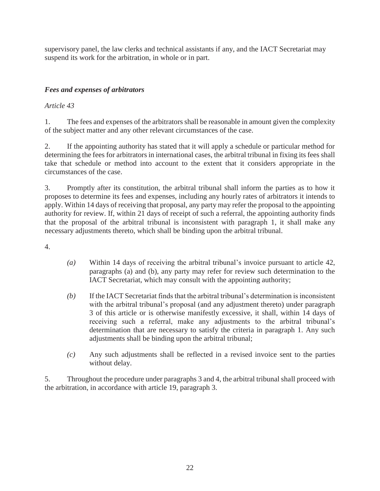supervisory panel, the law clerks and technical assistants if any, and the IACT Secretariat may suspend its work for the arbitration, in whole or in part.

# *Fees and expenses of arbitrators*

## *Article 43*

1. The fees and expenses of the arbitrators shall be reasonable in amount given the complexity of the subject matter and any other relevant circumstances of the case.

2. If the appointing authority has stated that it will apply a schedule or particular method for determining the fees for arbitrators in international cases, the arbitral tribunal in fixing its fees shall take that schedule or method into account to the extent that it considers appropriate in the circumstances of the case.

3. Promptly after its constitution, the arbitral tribunal shall inform the parties as to how it proposes to determine its fees and expenses, including any hourly rates of arbitrators it intends to apply. Within 14 days of receiving that proposal, any party may refer the proposal to the appointing authority for review. If, within 21 days of receipt of such a referral, the appointing authority finds that the proposal of the arbitral tribunal is inconsistent with paragraph 1, it shall make any necessary adjustments thereto, which shall be binding upon the arbitral tribunal.

4.

- *(a)* Within 14 days of receiving the arbitral tribunal's invoice pursuant to article 42, paragraphs (a) and (b), any party may refer for review such determination to the IACT Secretariat, which may consult with the appointing authority;
- *(b)* If the IACT Secretariat finds that the arbitral tribunal's determination is inconsistent with the arbitral tribunal's proposal (and any adjustment thereto) under paragraph 3 of this article or is otherwise manifestly excessive, it shall, within 14 days of receiving such a referral, make any adjustments to the arbitral tribunal's determination that are necessary to satisfy the criteria in paragraph 1. Any such adjustments shall be binding upon the arbitral tribunal;
- *(c)* Any such adjustments shall be reflected in a revised invoice sent to the parties without delay.

5. Throughout the procedure under paragraphs 3 and 4, the arbitral tribunal shall proceed with the arbitration, in accordance with article 19, paragraph 3.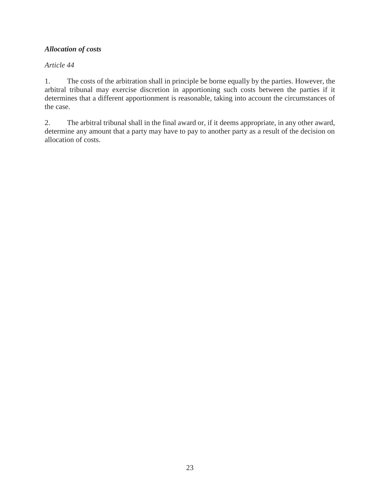## *Allocation of costs*

## *Article 44*

1. The costs of the arbitration shall in principle be borne equally by the parties. However, the arbitral tribunal may exercise discretion in apportioning such costs between the parties if it determines that a different apportionment is reasonable, taking into account the circumstances of the case.

2. The arbitral tribunal shall in the final award or, if it deems appropriate, in any other award, determine any amount that a party may have to pay to another party as a result of the decision on allocation of costs.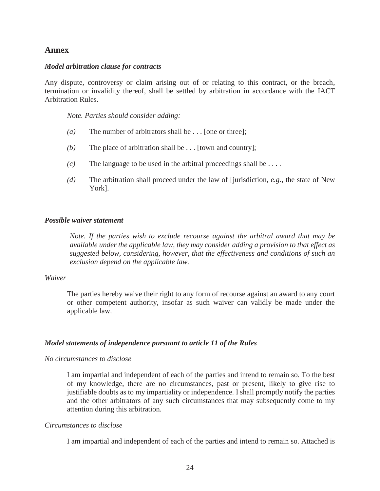## **Annex**

#### *Model arbitration clause for contracts*

Any dispute, controversy or claim arising out of or relating to this contract, or the breach, termination or invalidity thereof, shall be settled by arbitration in accordance with the IACT Arbitration Rules.

#### *Note. Parties should consider adding:*

- *(a)* The number of arbitrators shall be . . . [one or three];
- *(b)* The place of arbitration shall be . . . [town and country];
- *(c)* The language to be used in the arbitral proceedings shall be . . . .
- *(d)* The arbitration shall proceed under the law of [jurisdiction, *e.g.*, the state of New York].

#### *Possible waiver statement*

*Note. If the parties wish to exclude recourse against the arbitral award that may be available under the applicable law, they may consider adding a provision to that effect as suggested below, considering, however, that the effectiveness and conditions of such an exclusion depend on the applicable law.*

#### *Waiver*

The parties hereby waive their right to any form of recourse against an award to any court or other competent authority, insofar as such waiver can validly be made under the applicable law.

#### *Model statements of independence pursuant to article 11 of the Rules*

#### *No circumstances to disclose*

I am impartial and independent of each of the parties and intend to remain so. To the best of my knowledge, there are no circumstances, past or present, likely to give rise to justifiable doubts as to my impartiality or independence. I shall promptly notify the parties and the other arbitrators of any such circumstances that may subsequently come to my attention during this arbitration.

#### *Circumstances to disclose*

I am impartial and independent of each of the parties and intend to remain so. Attached is